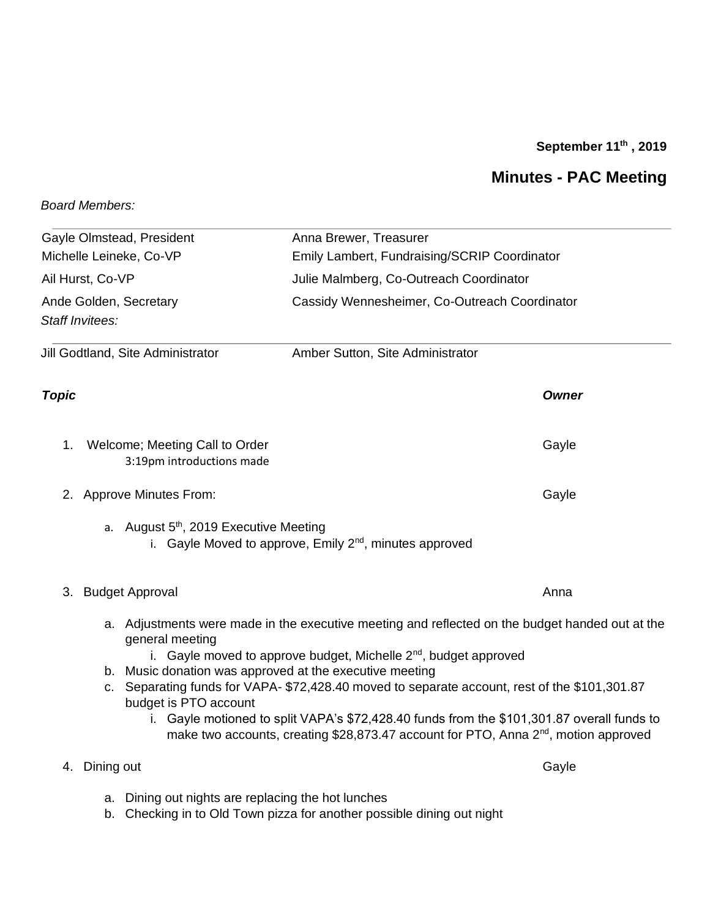## **September 11 th , 2019**

## **Minutes - PAC Meeting**

## *Board Members:*

| Gayle Olmstead, President                                                                |                                                             | Anna Brewer, Treasurer                                                                                                                                                                                                              |       |                                   |  |                                  |              |
|------------------------------------------------------------------------------------------|-------------------------------------------------------------|-------------------------------------------------------------------------------------------------------------------------------------------------------------------------------------------------------------------------------------|-------|-----------------------------------|--|----------------------------------|--------------|
| Michelle Leineke, Co-VP<br>Ail Hurst, Co-VP<br>Ande Golden, Secretary<br>Staff Invitees: |                                                             | Emily Lambert, Fundraising/SCRIP Coordinator<br>Julie Malmberg, Co-Outreach Coordinator<br>Cassidy Wennesheimer, Co-Outreach Coordinator                                                                                            |       |                                   |  |                                  |              |
|                                                                                          |                                                             |                                                                                                                                                                                                                                     |       | Jill Godtland, Site Administrator |  | Amber Sutton, Site Administrator |              |
|                                                                                          |                                                             |                                                                                                                                                                                                                                     |       | Topic                             |  |                                  | <b>Owner</b> |
| 1.                                                                                       | Welcome; Meeting Call to Order<br>3:19pm introductions made |                                                                                                                                                                                                                                     | Gayle |                                   |  |                                  |              |
| 2. Approve Minutes From:                                                                 |                                                             |                                                                                                                                                                                                                                     | Gayle |                                   |  |                                  |              |
|                                                                                          | a. August $5th$ , 2019 Executive Meeting                    | i. Gayle Moved to approve, Emily 2 <sup>nd</sup> , minutes approved                                                                                                                                                                 |       |                                   |  |                                  |              |
| <b>Budget Approval</b><br>3.                                                             |                                                             |                                                                                                                                                                                                                                     | Anna  |                                   |  |                                  |              |
|                                                                                          | general meeting                                             | a. Adjustments were made in the executive meeting and reflected on the budget handed out at the<br>i. Gayle moved to approve budget, Michelle $2^{nd}$ , budget approved<br>b. Music donation was approved at the executive meeting |       |                                   |  |                                  |              |
|                                                                                          | budget is PTO account                                       | c. Separating funds for VAPA-\$72,428.40 moved to separate account, rest of the \$101,301.87                                                                                                                                        |       |                                   |  |                                  |              |
|                                                                                          |                                                             | i. Gayle motioned to split VAPA's \$72,428.40 funds from the \$101,301.87 overall funds to<br>make two accounts, creating \$28,873.47 account for PTO, Anna 2 <sup>nd</sup> , motion approved                                       |       |                                   |  |                                  |              |
| 4. Dining out                                                                            |                                                             |                                                                                                                                                                                                                                     | Gayle |                                   |  |                                  |              |

- a. Dining out nights are replacing the hot lunches
- b. Checking in to Old Town pizza for another possible dining out night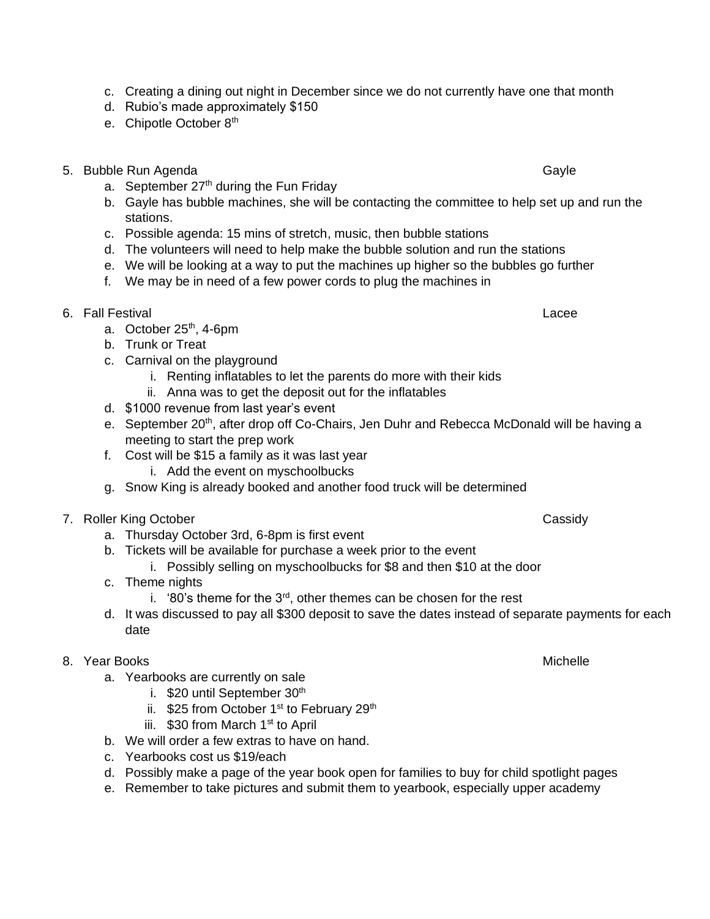- c. Creating a dining out night in December since we do not currently have one that month
- d. Rubio's made approximately \$150
- e. Chipotle October 8<sup>th</sup>
- 5. Bubble Run Agenda Gayle
	- a. September  $27<sup>th</sup>$  during the Fun Friday
	- b. Gayle has bubble machines, she will be contacting the committee to help set up and run the stations.
	- c. Possible agenda: 15 mins of stretch, music, then bubble stations
	- d. The volunteers will need to help make the bubble solution and run the stations
	- e. We will be looking at a way to put the machines up higher so the bubbles go further
	- f. We may be in need of a few power cords to plug the machines in
- 6. Fall Festival Lacee
	- a. October 25<sup>th</sup>, 4-6pm
	- b. Trunk or Treat
	- c. Carnival on the playground
		- i. Renting inflatables to let the parents do more with their kids
		- ii. Anna was to get the deposit out for the inflatables
	- d. \$1000 revenue from last year's event
	- e. September 20<sup>th</sup>, after drop off Co-Chairs, Jen Duhr and Rebecca McDonald will be having a meeting to start the prep work
	- f. Cost will be \$15 a family as it was last year
		- i. Add the event on myschoolbucks
	- g. Snow King is already booked and another food truck will be determined
- 7. Roller King October Cassidy
	- a. Thursday October 3rd, 6-8pm is first event
	- b. Tickets will be available for purchase a week prior to the event
		- i. Possibly selling on myschoolbucks for \$8 and then \$10 at the door
	- c. Theme nights
		- i. '80's theme for the  $3<sup>rd</sup>$ , other themes can be chosen for the rest
	- d. It was discussed to pay all \$300 deposit to save the dates instead of separate payments for each date
- 8. Year Books and the second state of the second state of the second state of the Michelle
	- a. Yearbooks are currently on sale
		- i. \$20 until September 30<sup>th</sup>
		- ii.  $$25$  from October 1<sup>st</sup> to February 29<sup>th</sup>
		- iii.  $$30$  from March 1<sup>st</sup> to April
	- b. We will order a few extras to have on hand.
	- c. Yearbooks cost us \$19/each
	- d. Possibly make a page of the year book open for families to buy for child spotlight pages
	- e. Remember to take pictures and submit them to yearbook, especially upper academy